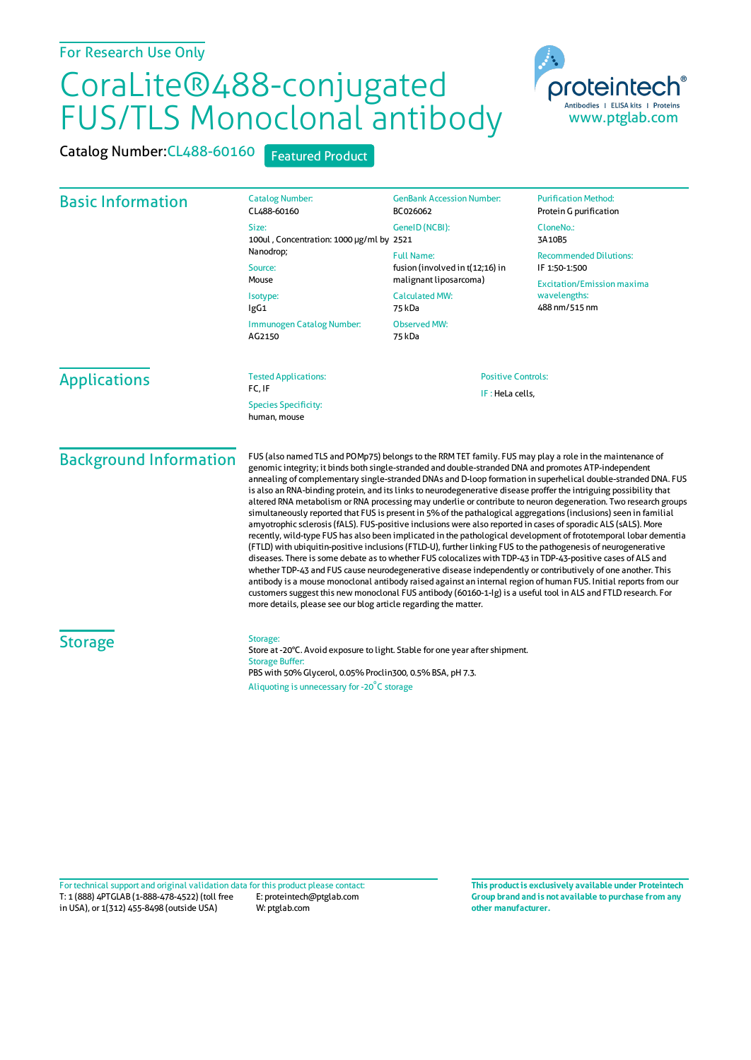## CoraLite®488-conjugated FUS/TLS Monoclonal antibody



Catalog Number: CL488-60160 Featured Product

| <b>Basic Information</b>      | <b>Catalog Number:</b><br>CL488-60160                                                                                                                                                                                                                                                                                                                                                                                                                                                                                                                                                                                                                                                                                                                                                                                                                                                                                                                                                                                                                                                                                                                                                                                                                                                                                                                                                                                                                                                                                                                                                           | <b>GenBank Accession Number:</b><br>BC026062                                               | <b>Purification Method:</b><br>Protein G purification              |                     |                                             |                           |  |
|-------------------------------|-------------------------------------------------------------------------------------------------------------------------------------------------------------------------------------------------------------------------------------------------------------------------------------------------------------------------------------------------------------------------------------------------------------------------------------------------------------------------------------------------------------------------------------------------------------------------------------------------------------------------------------------------------------------------------------------------------------------------------------------------------------------------------------------------------------------------------------------------------------------------------------------------------------------------------------------------------------------------------------------------------------------------------------------------------------------------------------------------------------------------------------------------------------------------------------------------------------------------------------------------------------------------------------------------------------------------------------------------------------------------------------------------------------------------------------------------------------------------------------------------------------------------------------------------------------------------------------------------|--------------------------------------------------------------------------------------------|--------------------------------------------------------------------|---------------------|---------------------------------------------|---------------------------|--|
|                               | Size:<br>100ul, Concentration: 1000 µg/ml by 2521                                                                                                                                                                                                                                                                                                                                                                                                                                                                                                                                                                                                                                                                                                                                                                                                                                                                                                                                                                                                                                                                                                                                                                                                                                                                                                                                                                                                                                                                                                                                               | GenelD (NCBI):                                                                             | CloneNo.:<br>3A10B5                                                |                     |                                             |                           |  |
|                               | Nanodrop;<br>Source:                                                                                                                                                                                                                                                                                                                                                                                                                                                                                                                                                                                                                                                                                                                                                                                                                                                                                                                                                                                                                                                                                                                                                                                                                                                                                                                                                                                                                                                                                                                                                                            | <b>Full Name:</b><br>fusion (involved in t(12;16) in                                       | <b>Recommended Dilutions:</b><br>IF 1:50-1:500                     |                     |                                             |                           |  |
|                               | Mouse<br>Isotype:<br>lgG1<br>Immunogen Catalog Number:<br>AG2150                                                                                                                                                                                                                                                                                                                                                                                                                                                                                                                                                                                                                                                                                                                                                                                                                                                                                                                                                                                                                                                                                                                                                                                                                                                                                                                                                                                                                                                                                                                                | malignant liposarcoma)<br><b>Calculated MW:</b><br>75 kDa<br><b>Observed MW:</b><br>75 kDa | <b>Excitation/Emission maxima</b><br>wavelengths:<br>488 nm/515 nm |                     |                                             |                           |  |
|                               |                                                                                                                                                                                                                                                                                                                                                                                                                                                                                                                                                                                                                                                                                                                                                                                                                                                                                                                                                                                                                                                                                                                                                                                                                                                                                                                                                                                                                                                                                                                                                                                                 |                                                                                            |                                                                    | <b>Applications</b> | <b>Tested Applications:</b><br>FC, IF       | <b>Positive Controls:</b> |  |
|                               |                                                                                                                                                                                                                                                                                                                                                                                                                                                                                                                                                                                                                                                                                                                                                                                                                                                                                                                                                                                                                                                                                                                                                                                                                                                                                                                                                                                                                                                                                                                                                                                                 |                                                                                            |                                                                    |                     | <b>Species Specificity:</b><br>human, mouse | IF: HeLa cells,           |  |
| <b>Background Information</b> | FUS (also named TLS and POMp75) belongs to the RRM TET family. FUS may play a role in the maintenance of<br>genomic integrity; it binds both single-stranded and double-stranded DNA and promotes ATP-independent<br>annealing of complementary single-stranded DNAs and D-loop formation in superhelical double-stranded DNA. FUS<br>is also an RNA-binding protein, and its links to neurodegenerative disease proffer the intriguing possibility that<br>altered RNA metabolism or RNA processing may underlie or contribute to neuron degeneration. Two research groups<br>simultaneously reported that FUS is present in 5% of the pathalogical aggregations (inclusions) seen in familial<br>amyotrophic sclerosis (fALS). FUS-positive inclusions were also reported in cases of sporadic ALS (sALS). More<br>recently, wild-type FUS has also been implicated in the pathological development of frototemporal lobar dementia<br>(FTLD) with ubiquitin-positive inclusions (FTLD-U), further linking FUS to the pathogenesis of neurogenerative<br>diseases. There is some debate as to whether FUS colocalizes with TDP-43 in TDP-43-positive cases of ALS and<br>whether TDP-43 and FUS cause neurodegenerative disease independently or contributively of one another. This<br>antibody is a mouse monoclonal antibody raised against an internal region of human FUS. Initial reports from our<br>customers suggest this new monoclonal FUS antibody (60160-1-1g) is a useful tool in ALS and FTLD research. For<br>more details, please see our blog article regarding the matter. |                                                                                            |                                                                    |                     |                                             |                           |  |
| <b>Storage</b>                | Storage:<br>Store at -20°C. Avoid exposure to light. Stable for one year after shipment.<br><b>Storage Buffer:</b><br>PBS with 50% Glycerol, 0.05% Proclin300, 0.5% BSA, pH 7.3.<br>Aliquoting is unnecessary for -20°C storage                                                                                                                                                                                                                                                                                                                                                                                                                                                                                                                                                                                                                                                                                                                                                                                                                                                                                                                                                                                                                                                                                                                                                                                                                                                                                                                                                                 |                                                                                            |                                                                    |                     |                                             |                           |  |
|                               |                                                                                                                                                                                                                                                                                                                                                                                                                                                                                                                                                                                                                                                                                                                                                                                                                                                                                                                                                                                                                                                                                                                                                                                                                                                                                                                                                                                                                                                                                                                                                                                                 |                                                                                            |                                                                    |                     |                                             |                           |  |

T: 1 (888) 4PTGLAB (1-888-478-4522) (toll free in USA), or 1(312) 455-8498 (outside USA) E: proteintech@ptglab.com W: ptglab.com Fortechnical support and original validation data forthis product please contact: **This productis exclusively available under Proteintech**

**Group brand and is not available to purchase from any other manufacturer.**